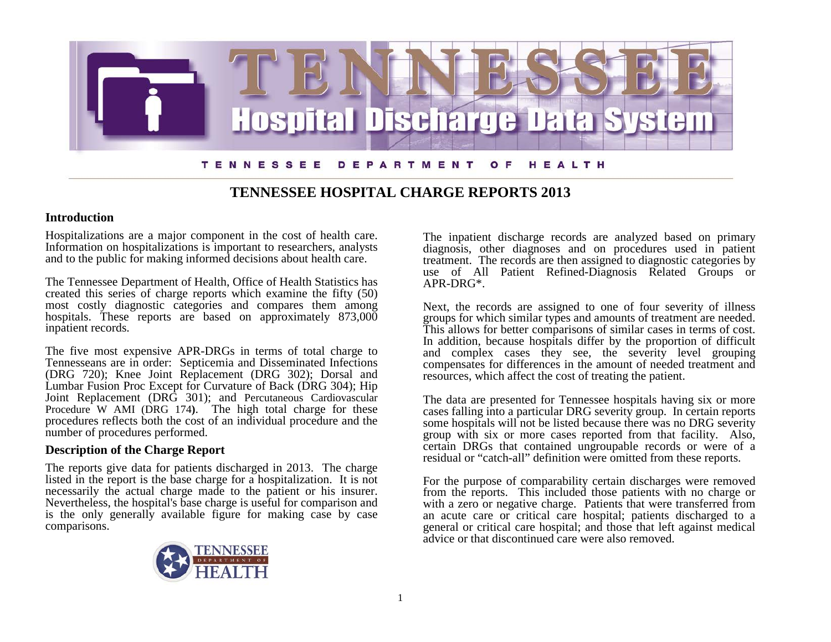

# **TENNESSEE HOSPITAL CHARGE REPORTS 2013**

# **Introduction**

Hospitalizations are a major component in the cost of health care. Information on hospitalizations is important to researchers, analysts and to the public for making informed decisions about health care.

The Tennessee Department of Health, Office of Health Statistics has created this series of charge reports which examine the fifty (50) most costly diagnostic categories and compares them among hospitals. These reports are based on approximately 873,000 inpatient records.

The five most expensive APR-DRGs in terms of total charge to Tennesseans are in order: Septicemia and Disseminated Infections (DRG 720); Knee Joint Replacement (DRG 302); Dorsal and Lumbar Fusion Proc Except for Curvature of Back (DRG 304); Hip Joint Replacement (DRG 301); and Percutaneous Cardiovascular Procedure W AMI (DRG 174**)**. The high total charge for these procedures reflects both the cost of an individual procedure and the number of procedures performed.

# **Description of the Charge Report**

The reports give data for patients discharged in 2013. The charge listed in the report is the base charge for a hospitalization. It is not Nevertheless, the hospital's base charge is useful for comparison and is the only generally available figure for making case by case comparisons.



The inpatient discharge records are analyzed based on primary diagnosis, other diagnoses and on procedures used in patient treatment. The records are then assigned to diagnostic categories by use of All Patient Refined-Diagnosis Related Groups or APR-DRG\*.

Next, the records are assigned to one of four severity of illness groups for which similar types and amounts of treatment are needed. This allows for better comparisons of similar cases in terms of cost. In addition, because hospitals differ by the proportion of difficult and complex cases they see, the severity level grouping compensates for differences in the amount of needed treatment and resources, which affect the cost of treating the patient.

The data are presented for Tennessee hospitals having six or more cases falling into a particular DRG severity group. In certain reports some hospitals will not be listed because there was no DRG severity group with six or more cases reported from that facility. Also, certain DRGs that contained ungroupable records or were of a residual or "catch-all" definition were omitted from these reports.

For the purpose of comparability certain discharges were removed from the reports. This included those patients with no charge or with a zero or negative charge. Patients that were transferred from an acute care or critical care hospital; patients discharged to a general or critical care hospital; and those that left against medical advice or that discontinued care were also removed.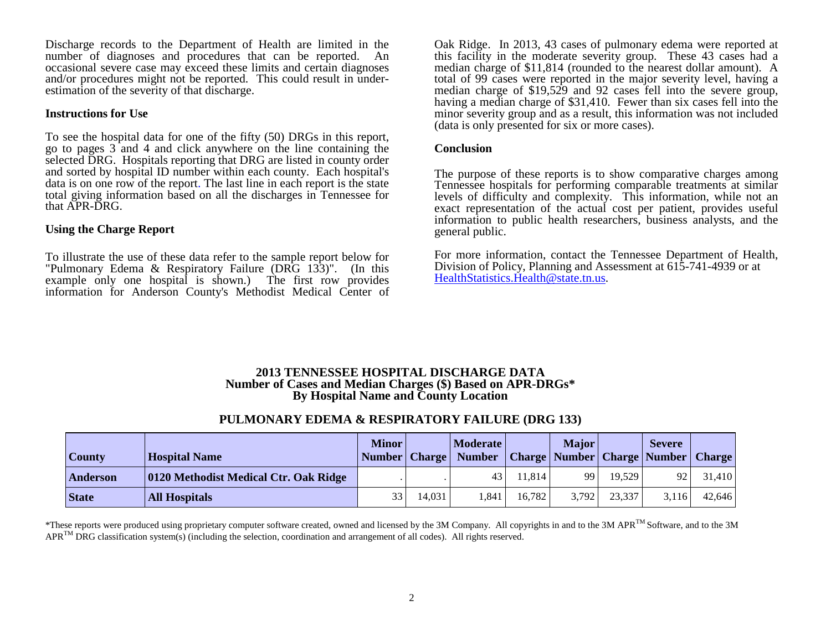Discharge records to the Department of Health are limited in the number of diagnoses and procedures that can be reported. An occasional severe case may exceed these limits and certain diagnoses and/or procedures might not be reported. This could result in under- estimation of the severity of that discharge.

#### **Instructions for Use**

To see the hospital data for one of the fifty (50) DRGs in this report, go to pages 3 and 4 and click anywhere on the line containing the selected DRG. Hospitals reporting that DRG are listed in county order and sorted by hospital ID number within each county. Each hospital's data is on one row of the report. The last line in each report is the state total giving information based on all the discharges in Tennessee for that APR-DRG.

### **Using the Charge Report**

To illustrate the use of these data refer to the sample report below for "Pulmonary Edema & Respiratory Failure (DRG 133)". (In this example only one hospital is shown.) The first row provides information for Anderson County's Methodist Medical Center of

Oak Ridge. In 2013, 43 cases of pulmonary edema were reported at this facility in the moderate severity group. These 43 cases had a median charge of \$11,814 (rounded to the nearest dollar amount). A total of 99 cases were reported in the major severity level, having a median charge of \$19,529 and 92 cases fell into the severe group, having a median charge of \$31,410. Fewer than six cases fell into the minor severity group and as a result, this information was not included (data is only presented for six or more cases).

#### **Conclusion**

The purpose of these reports is to show comparative charges among Tennessee hospitals for performing comparable treatments at similar levels of difficulty and complexity. This information, while not an exact representation of the actual cost per patient, provides useful information to public health researchers, business analysts, and the general public.

For more information, contact the Tennessee Department of Health, Division of Policy, Planning and Assessment at 615-741-4939 or at [HealthStatistics.Health@state.tn.us.](mailto:HealthStatistics.Health@state.tn.us)

#### **2013 TENNESSEE HOSPITAL DISCHARGE DATA Number of Cases and Median Charges (\$) Based on APR-DRGs\* By Hospital Name and County Location**

# **PULMONARY EDEMA & RESPIRATORY FAILURE (DRG 133)**

| <b>County</b> | <b>Hospital Name</b>                  | <b>Minor</b> |        | Moderate  <br>Number   Charge   Number   Charge   Number   Charge   Number |        | <b>Major</b> |        | <b>Severe</b> | <b>Charge</b> |
|---------------|---------------------------------------|--------------|--------|----------------------------------------------------------------------------|--------|--------------|--------|---------------|---------------|
| Anderson      | 0120 Methodist Medical Ctr. Oak Ridge |              |        | 43                                                                         | 11.814 | 99           | 19.529 | 92            | 31,410        |
| <b>State</b>  | <b>All Hospitals</b>                  | 33           | 14,031 | .841                                                                       | 16,782 | 3,792        | 23,337 | 3.116         | 42,646        |

\*These reports were produced using proprietary computer software created, owned and licensed by the 3M Company. All copyrights in and to the 3M APR<sup>TM</sup> Software, and to the 3M  $APR^{TM} DRG$  classification system(s) (including the selection, coordination and arrangement of all codes). All rights reserved.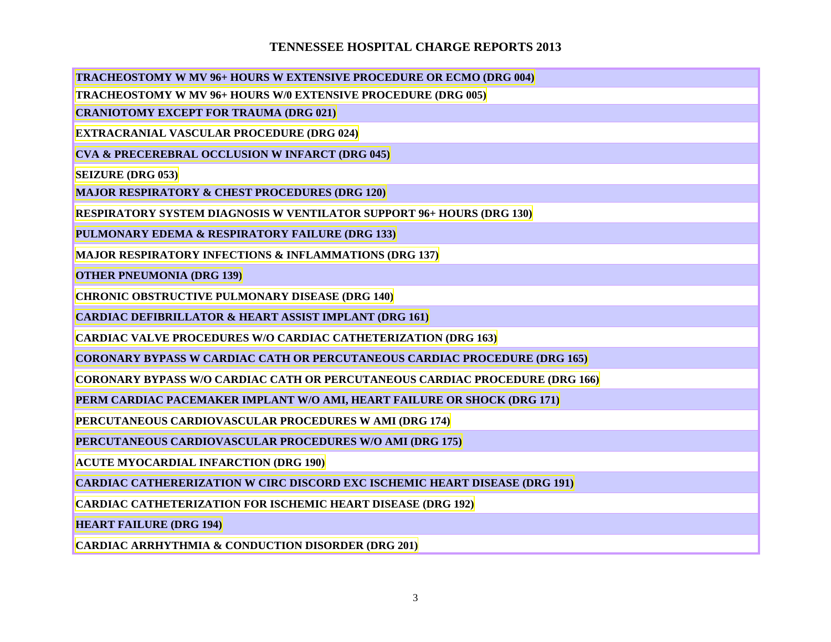# **TENNESSEE HOSPITAL CHARGE REPORTS 2013**

**[TRACHEOSTOMY W MV 96+ HOURS W EXTENSIVE PROCEDURE OR ECMO \(DRG 004\)](http://apps.health.tn.gov/statistics/PdfFiles/HDDS_2013/y13004.pdf)**

**[TRACHEOSTOMY W MV 96+ HOURS W/0 EXTENSIVE PROCEDURE \(DRG 005\)](http://apps.health.tn.gov/statistics/PdfFiles/HDDS_2013/y13005.pdf)**

**[CRANIOTOMY EXCEPT FOR TRAUMA \(DRG 021\)](http://apps.health.tn.gov/statistics/PdfFiles/HDDS_2013/y13021.pdf)**

**[EXTRACRANIAL VASCULAR PROCEDURE \(DRG 024\)](http://apps.health.tn.gov/statistics/PdfFiles/HDDS_2013/y13024.pdf)**

**[CVA & PRECEREBRAL OCCLUSION](http://apps.health.tn.gov/statistics/PdfFiles/HDDS_2013/y13045.pdf) W INFARCT (DRG 045)**

**[SEIZURE \(DRG 053\)](http://apps.health.tn.gov/statistics/PdfFiles/HDDS_2013/y13053.pdf)**

**[MAJOR RESPIRATORY & CHEST PROCEDURES \(DRG 120\)](http://apps.health.tn.gov/statistics/PdfFiles/HDDS_2013/y13120.pdf)**

**[RESPIRATORY SYSTEM DIAGNOSIS W VENTILATOR SUPPORT 96+ HOURS \(DRG 130\)](http://apps.health.tn.gov/statistics/PdfFiles/HDDS_2013/y13130.pdf)**

**[PULMONARY EDEMA & RESPIRATORY FAILURE \(DRG 133\)](http://apps.health.tn.gov/statistics/PdfFiles/HDDS_2013/y13133.pdf)**

**[MAJOR RESPIRATORY INFECTIONS & INFLAMMATIONS \(DRG 137\)](http://apps.health.tn.gov/statistics/PdfFiles/HDDS_2013/y13137.pdf)**

**[OTHER PNEUMONIA](http://apps.health.tn.gov/statistics/PdfFiles/HDDS_2013/y13139.pdf) (DRG 139)**

**[CHRONIC OBSTRUCTIVE PULMONARY DISEASE \(DRG 140\)](http://apps.health.tn.gov/statistics/PdfFiles/HDDS_2013/y13140.pdf)**

**[CARDIAC DEFIBRILLATOR & HEART ASSIST IMPLANT \(DRG 161\)](http://apps.health.tn.gov/statistics/PdfFiles/HDDS_2013/y13161.pdf)**

**[CARDIAC VALVE PROCEDURES W/O CARDIAC CATHETERIZATION \(DRG 163\)](http://apps.health.tn.gov/statistics/PdfFiles/HDDS_2013/y13163.pdf)**

**[CORONARY BYPASS W CARDIAC CATH OR PERCUTANEOUS CARDIAC PROCEDURE \(DRG 165\)](http://apps.health.tn.gov/statistics/PdfFiles/HDDS_2013/y13165.pdf)**

**[CORONARY BYPASS W/O CARDIAC CATH OR PERCUTANEOUS CARDIAC PROCEDURE \(DRG 166\)](http://apps.health.tn.gov/statistics/PdfFiles/HDDS_2013/y13166.pdf)**

**[PERM CARDIAC PACEMAKER IMPLANT W/O AMI, HEART FAILURE OR SHOCK \(DRG 171\)](http://apps.health.tn.gov/statistics/PdfFiles/HDDS_2013/y13171.pdf)**

**[PERCUTANEOUS CARDIOVASCULAR PROCEDURES W AMI \(DRG 174\)](http://apps.health.tn.gov/statistics/PdfFiles/HDDS_2013/y13174.pdf)**

**[PERCUTANEOUS CARDIOVASCULAR PROCEDURES W/O AMI \(DRG 175\)](http://apps.health.tn.gov/statistics/PdfFiles/HDDS_2013/y13175.pdf)**

**[ACUTE MYOCARDIAL INFARCTION \(DRG 190\)](http://apps.health.tn.gov/statistics/PdfFiles/HDDS_2013/y13190.pdf)**

**[CARDIAC CATHERERIZATION W CIRC DISCORD EXC ISCHEMIC HEART DISEASE \(DRG 191\)](http://apps.health.tn.gov/statistics/PdfFiles/HDDS_2013/y13191.pdf)**

**[CARDIAC CATHETERIZATION FOR ISCHEMIC HEART DISEASE \(DRG 192\)](http://apps.health.tn.gov/statistics/PdfFiles/HDDS_2013/y13192.pdf)**

**[HEART FAILURE \(DRG 194\)](http://apps.health.tn.gov/statistics/PdfFiles/HDDS_2013/y13194.pdf)**

**[CARDIAC ARRHYTHMIA & CONDUCTION DISORDER \(DRG 201\)](http://apps.health.tn.gov/statistics/PdfFiles/HDDS_2013/y13201.pdf)**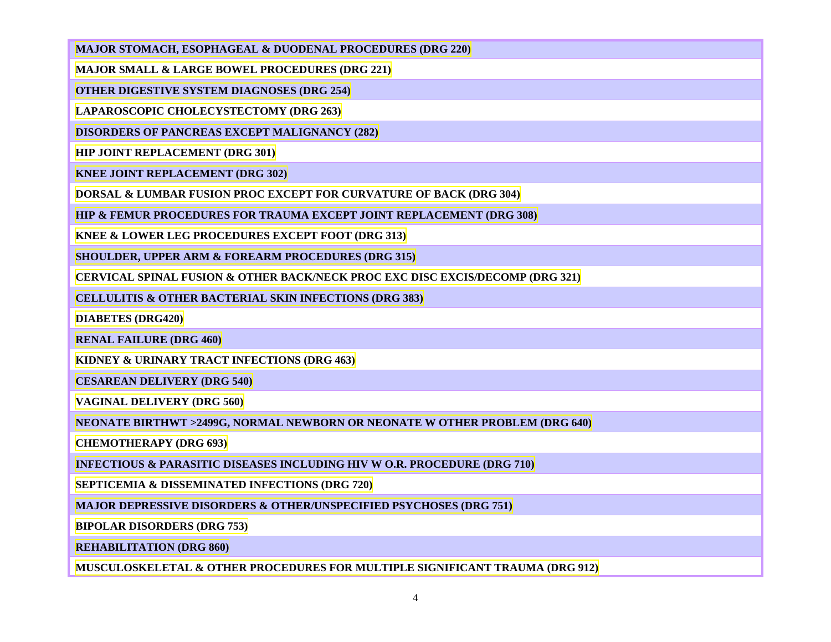## **[MAJOR STOMACH, ESOPHAGEAL & DUODENAL PROCEDURES \(DRG 220\)](http://apps.health.tn.gov/statistics/PdfFiles/HDDS_2013/y13220.pdf)**

**[MAJOR SMALL & LARGE BOWEL PROCEDURES \(DRG 221\)](http://apps.health.tn.gov/statistics/PdfFiles/HDDS_2013/y13221.pdf)**

**[OTHER DIGESTIVE SYSTEM DIAGNOSES \(DRG 254\)](http://apps.health.tn.gov/statistics/PdfFiles/HDDS_2013/y13254.pdf)**

**[LAPAROSCOPIC CHOLECYSTECTOMY \(DRG 263\)](http://apps.health.tn.gov/statistics/PdfFiles/HDDS_2013/y13263.pdf)**

**[DISORDERS OF PANCREAS EXCEPT MALIGNANCY \(282\)](http://apps.health.tn.gov/statistics/PdfFiles/HDDS_2013/y13282.pdf)**

**[HIP JOINT REPLACEMENT \(DRG](http://apps.health.tn.gov/statistics/PdfFiles/HDDS_2013/y13301.pdf) 301)**

**[KNEE JOINT REPLACEMENT \(DRG 302\)](http://apps.health.tn.gov/statistics/PdfFiles/HDDS_2013/y13302.pdf)**

**[DORSAL & LUMBAR FUSION PROC EXCEPT FOR CURVATURE OF BACK \(DRG 304\)](http://apps.health.tn.gov/statistics/PdfFiles/HDDS_2013/y13304.pdf)**

**[HIP & FEMUR PROCEDURES FOR TRAUMA EXCEPT JOINT REPLACEMENT \(DRG 308\)](http://apps.health.tn.gov/statistics/PdfFiles/HDDS_2013/y13308.pdf)**

**[KNEE & LOWER LEG PROCEDURES EXCEPT FOOT \(DRG 313\)](http://apps.health.tn.gov/statistics/PdfFiles/HDDS_2013/y13313.pdf)**

**SHOULDER, UPPER ARM [& FOREARM PROCEDURES \(DRG 315\)](http://apps.health.tn.gov/statistics/PdfFiles/HDDS_2013/y13315.pdf)**

**[CERVICAL SPINAL FUSION & OTHER BACK/NECK PROC EXC DISC EXCIS/DECOMP \(DRG 321\)](http://apps.health.tn.gov/statistics/PdfFiles/HDDS_2013/y13321.pdf)**

**[CELLULITIS & OTHER BACTERIAL SKIN INFECTIONS \(DRG 383\)](http://apps.health.tn.gov/statistics/PdfFiles/HDDS_2013/y13383.pdf)**

**[DIABETES \(DRG420\)](http://apps.health.tn.gov/statistics/PdfFiles/HDDS_2013/y13420.pdf)**

**[RENAL FAILURE \(DRG 460\)](http://apps.health.tn.gov/statistics/PdfFiles/HDDS_2013/y13460.pdf)**

**[KIDNEY & URINARY TRACT INFECTIONS \(DRG 463\)](http://apps.health.tn.gov/statistics/PdfFiles/HDDS_2013/y13463.pdf)**

**[CESAREAN DELIVERY](http://apps.health.tn.gov/statistics/PdfFiles/HDDS_2013/y13540.pdf) (DRG 540)**

**[VAGINAL DELIVERY \(DRG 560\)](http://apps.health.tn.gov/statistics/PdfFiles/HDDS_2013/y13560.pdf)**

**[NEONATE BIRTHWT >2499G, NORMAL NEWBORN OR NEONATE W OTHER PROBLEM \(DRG 640\)](http://apps.health.tn.gov/statistics/PdfFiles/HDDS_2013/y13640.pdf)**

**[CHEMOTHERAPY \(DRG 693\)](http://apps.health.tn.gov/statistics/PdfFiles/HDDS_2013/y13693.pdf)**

**[INFECTIOUS & PARASITIC DISEASES INCLUDING HIV W O.R. PROCEDURE \(DRG 710\)](http://apps.health.tn.gov/statistics/PdfFiles/HDDS_2013/y13710.pdf)**

**[SEPTICEMIA & DISSEMINATED INFECTIONS \(DRG 720\)](http://apps.health.tn.gov/statistics/PdfFiles/HDDS_2013/y13720.pdf)**

**[MAJOR DEPRESSIVE DISORDERS & OTHER/UNSPECIFIED PSYCHOSES \(DRG 751\)](http://apps.health.tn.gov/statistics/PdfFiles/HDDS_2013/y13751.pdf)**

**[BIPOLAR DISORDERS \(DRG 753\)](http://apps.health.tn.gov/statistics/PdfFiles/HDDS_2013/y13753.pdf)**

**[REHABILITATION \(DRG 860\)](http://apps.health.tn.gov/statistics/PdfFiles/HDDS_2013/y13860.pdf)**

**[MUSCULOSKELETAL & OTHER PROCEDURES FOR MULTIPLE SIGNIFICANT TRAUMA \(DRG 912\)](http://apps.health.tn.gov/statistics/PdfFiles/HDDS_2013/y13912.pdf)**